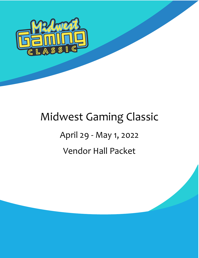

# Midwest Gaming Classic

# April 29 - May 1, 2022 Vendor Hall Packet

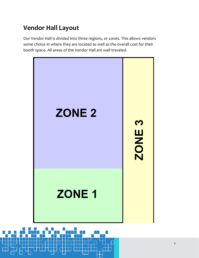## **Vendor Hall Layout**

Our Vendor Hall is divided into three regions, or zones. This allows vendors some choice in where they are located as well as the overall cost for their booth space. All areas of the Vendor Hall are well traveled.

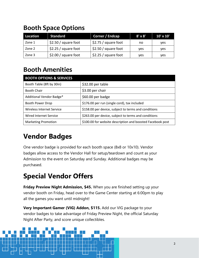### **Booth Space Options**

| Location | <b>Standard</b>       | Corner / Endcap      | $8' \times 8'$ | $10' \times 10'$ |
|----------|-----------------------|----------------------|----------------|------------------|
| Zone 1   | $$2.50 / square$ foot | \$2.75 / square foot | no             | ves              |
| Zone 2   | \$2.25/square foot    | \$2.50 / square foot | yes            | ves              |
| Zone 3   | \$2.00 / square foot  | \$2.25/square foot   | yes            | ves              |

## **Booth Amenities**

| <b>BOOTH OPTIONS &amp; SERVICES</b> |                                                            |  |  |  |
|-------------------------------------|------------------------------------------------------------|--|--|--|
| Booth Table (8ft by 30in)           | \$32.00 per table                                          |  |  |  |
| Booth Chair                         | \$3.00 per chair                                           |  |  |  |
| Additional Vendor Badge*            | \$60.00 per badge                                          |  |  |  |
| <b>Booth Power Drop</b>             | \$176.00 per run (single cord), tax included               |  |  |  |
| Wireless Internet Service           | \$158.00 per device, subject to terms and conditions       |  |  |  |
| Wired Internet Service              | \$263.00 per device, subject to terms and conditions       |  |  |  |
| <b>Marketing Promotion</b>          | \$100.00 for website description and boosted Facebook post |  |  |  |

# **Vendor Badges**

One vendor badge is provided for each booth space (8x8 or 10x10). Vendor badges allow access to the Vendor Hall for setup/teardown and count as your Admission to the event on Saturday and Sunday. Additional badges may be purchased.

# **Special Vendor Offers**

**Friday Preview Night Admission, \$45.** When you are finished setting up your vendor booth on Friday, head over to the Game Center starting at 6:00pm to play all the games you want until midnight!

**Very Important Gamer (VIG) Addon, \$115.** Add our VIG package to your vendor badges to take advantage of Friday Preview Night, the official Saturday Night After Party, and score unique collectibles.

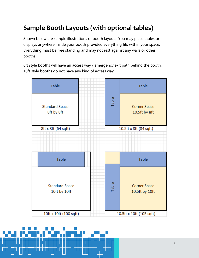## **Sample Booth Layouts (with optional tables)**

Shown below are sample illustrations of booth layouts. You may place tables or displays anywhere inside your booth provided everything fits within your space. Everything must be free standing and may not rest against any walls or other booths.

8ft style booths will have an access way / emergency exit path behind the booth. 10ft style booths do not have any kind of access way.



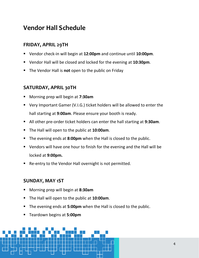### **Vendor Hall Schedule**

#### **FRIDAY, APRIL 29TH**

- Vendor check-in will begin at **12:00pm** and continue until **10:00pm**.
- Vendor Hall will be closed and locked for the evening at **10:30pm**.
- The Vendor Hall is **not** open to the public on Friday

#### **SATURDAY, APRIL 30TH**

- Morning prep will begin at **7:30am**
- Very Important Gamer (V.I.G.) ticket holders will be allowed to enter the hall starting at **9:00am**. Please ensure your booth is ready.
- All other pre-order ticket holders can enter the hall starting at **9:30am**.
- The Hall will open to the public at **10:00am**.
- The evening ends at **8:00pm** when the Hall is closed to the public.
- Vendors will have one hour to finish for the evening and the Hall will be locked at **9:00pm.**
- Re-entry to the Vendor Hall overnight is not permitted.

#### **SUNDAY, MAY 1ST**

- Morning prep will begin at **8:30am**
- The Hall will open to the public at 10:00am.
- The evening ends at **5:00pm** when the Hall is closed to the public.
- Teardown begins at **5:00pm**

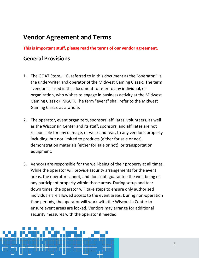### **Vendor Agreement and Terms**

**This is important stuff, please read the terms of our vendor agreement.**

#### **General Provisions**

- 1. The GOAT Store, LLC, referred to in this document as the "operator," is the underwriter and operator of the Midwest Gaming Classic. The term "vendor" is used in this document to refer to any individual, or organization, who wishes to engage in business activity at the Midwest Gaming Classic ("MGC"). The term "event" shall refer to the Midwest Gaming Classic as a whole.
- 2. The operator, event organizers, sponsors, affiliates, volunteers, as well as the Wisconsin Center and its staff, sponsors, and affiliates are not responsible for any damage, or wear and tear, to any vendor's property including, but not limited to products (either for sale or not), demonstration materials (either for sale or not), or transportation equipment.
- 3. Vendors are responsible for the well-being of their property at all times. While the operator will provide security arrangements for the event areas, the operator cannot, and does not, guarantee the well-being of any participant property within those areas. During setup and teardown times, the operator will take steps to ensure only authorized individuals are allowed access to the event areas. During non-operation time periods, the operator will work with the Wisconsin Center to ensure event areas are locked. Vendors may arrange for additional security measures with the operator if needed.

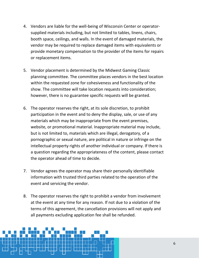- 4. Vendors are liable for the well-being of Wisconsin Center or operatorsupplied materials including, but not limited to tables, linens, chairs, booth space, ceilings, and walls. In the event of damaged materials, the vendor may be required to replace damaged items with equivalents or provide monetary compensation to the provider of the items for repairs or replacement items.
- 5. Vendor placement is determined by the Midwest Gaming Classic planning committee. The committee places vendors in the best location within the requested zone for cohesiveness and functionality of the show. The committee will take location requests into consideration; however, there is no guarantee specific requests will be granted.
- 6. The operator reserves the right, at its sole discretion, to prohibit participation in the event and to deny the display, sale, or use of any materials which may be inappropriate from the event premises, website, or promotional material. Inappropriate material may include, but is not limited to, materials which are illegal, derogatory, of a pornographic or sexual nature, are political in nature or infringe on the intellectual property rights of another individual or company. If there is a question regarding the appropriateness of the content, please contact the operator ahead of time to decide.
- 7. Vendor agrees the operator may share their personally identifiable information with trusted third parties related to the operation of the event and servicing the vendor.
- 8. The operator reserves the right to prohibit a vendor from involvement at the event at any time for any reason. If not due to a violation of the terms of this agreement, the cancellation provisions will not apply and all payments excluding application fee shall be refunded.

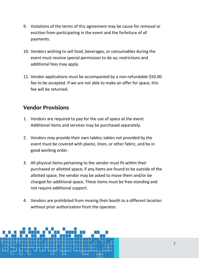- 9. Violations of the terms of this agreement may be cause for removal or eviction from participating in the event and the forfeiture of all payments.
- 10. Vendors wishing to sell food, beverages, or consumables during the event must receive special permission to do so; restrictions and additional fees may apply.
- 11. Vendor applications must be accompanied by a non-refundable \$50.00 fee to be accepted. If we are not able to make an offer for space, this fee will be returned.

### **Vendor Provisions**

- 1. Vendors are required to pay for the use of space at the event. Additional items and services may be purchased separately.
- 2. Vendors may provide their own tables; tables not provided by the event must be covered with plastic, linen, or other fabric, and be in good working order.
- 3. All physical items pertaining to the vendor must fit within their purchased or allotted space; if any items are found to be outside of the allotted space, the vendor may be asked to move them and/or be charged for additional space. These items must be free-standing and not require additional support.
- 4. Vendors are prohibited from moving their booth to a different location without prior authorization from the operator.

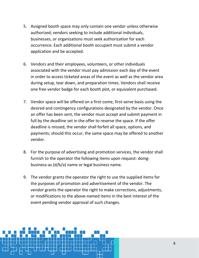- 5. Assigned booth space may only contain one vendor unless otherwise authorized; vendors seeking to include additional individuals, businesses, or organizations must seek authorization for each occurrence. Each additional booth occupant must submit a vendor application and be accepted.
- 6. Vendors and their employees, volunteers, or other individuals associated with the vendor must pay admission each day of the event in order to access ticketed areas of the event as well as the vendor area during setup, tear down, and preparation times. Vendors shall receive one free vendor badge for each booth plot, or equivalent purchased.
- 7. Vendor space will be offered on a first-come, first-serve basis using the desired and contingency configurations designated by the vendor. Once an offer has been sent, the vendor must accept and submit payment in full by the deadline set in the offer to reserve the space. If the offer deadline is missed, the vendor shall forfeit all space, options, and payments; should this occur, the same space may be offered to another vendor.
- 8. For the purpose of advertising and promotion services, the vendor shall furnish to the operator the following items upon request: doingbusiness-as (d/b/a) name or legal business name.
- 9. The vendor grants the operator the right to use the supplied items for the purposes of promotion and advertisement of the vendor. The vendor grants the operator the right to make corrections, adjustments, or modifications to the above-named items in the best interest of the event pending vendor approval of such changes.

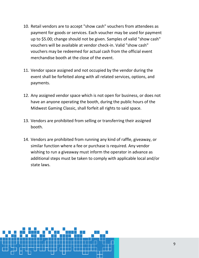- 10. Retail vendors are to accept "show cash" vouchers from attendees as payment for goods or services. Each voucher may be used for payment up to \$5.00; change should not be given. Samples of valid "show cash" vouchers will be available at vendor check-in. Valid "show cash" vouchers may be redeemed for actual cash from the official event merchandise booth at the close of the event.
- 11. Vendor space assigned and not occupied by the vendor during the event shall be forfeited along with all related services, options, and payments.
- 12. Any assigned vendor space which is not open for business, or does not have an anyone operating the booth, during the public hours of the Midwest Gaming Classic, shall forfeit all rights to said space.
- 13. Vendors are prohibited from selling or transferring their assigned booth.
- 14. Vendors are prohibited from running any kind of raffle, giveaway, or similar function where a fee or purchase is required. Any vendor wishing to run a giveaway must inform the operator in advance as additional steps must be taken to comply with applicable local and/or state laws.

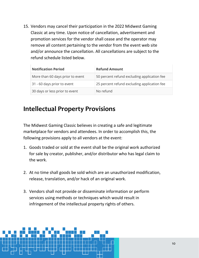15. Vendors may cancel their participation in the 2022 Midwest Gaming Classic at any time. Upon notice of cancellation, advertisement and promotion services for the vendor shall cease and the operator may remove all content pertaining to the vendor from the event web site and/or announce the cancellation. All cancellations are subject to the refund schedule listed below.

| <b>Notification Period</b>       | <b>Refund Amount</b>                        |  |
|----------------------------------|---------------------------------------------|--|
| More than 60 days prior to event | 50 percent refund excluding application fee |  |
| 31 - 60 days prior to event      | 25 percent refund excluding application fee |  |
| 30 days or less prior to event   | No refund                                   |  |

### **Intellectual Property Provisions**

The Midwest Gaming Classic believes in creating a safe and legitimate marketplace for vendors and attendees. In order to accomplish this, the following provisions apply to all vendors at the event:

- 1. Goods traded or sold at the event shall be the original work authorized for sale by creator, publisher, and/or distributor who has legal claim to the work.
- 2. At no time shall goods be sold which are an unauthorized modification, release, translation, and/or hack of an original work.
- 3. Vendors shall not provide or disseminate information or perform services using methods or techniques which would result in infringement of the intellectual property rights of others.

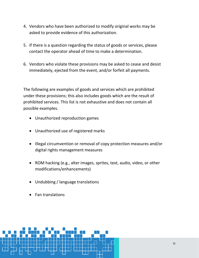- 4. Vendors who have been authorized to modify original works may be asked to provide evidence of this authorization.
- 5. If there is a question regarding the status of goods or services, please contact the operator ahead of time to make a determination.
- 6. Vendors who violate these provisions may be asked to cease and desist immediately, ejected from the event, and/or forfeit all payments.

The following are examples of goods and services which are prohibited under these provisions; this also includes goods which are the result of prohibited services. This list is not exhaustive and does not contain all possible examples.

- Unauthorized reproduction games
- Unauthorized use of registered marks
- Illegal circumvention or removal of copy protection measures and/or digital rights management measures
- ROM hacking (e.g., alter images, sprites, text, audio, video, or other modifications/enhancements)
- Undubbing / language translations
- Fan translations